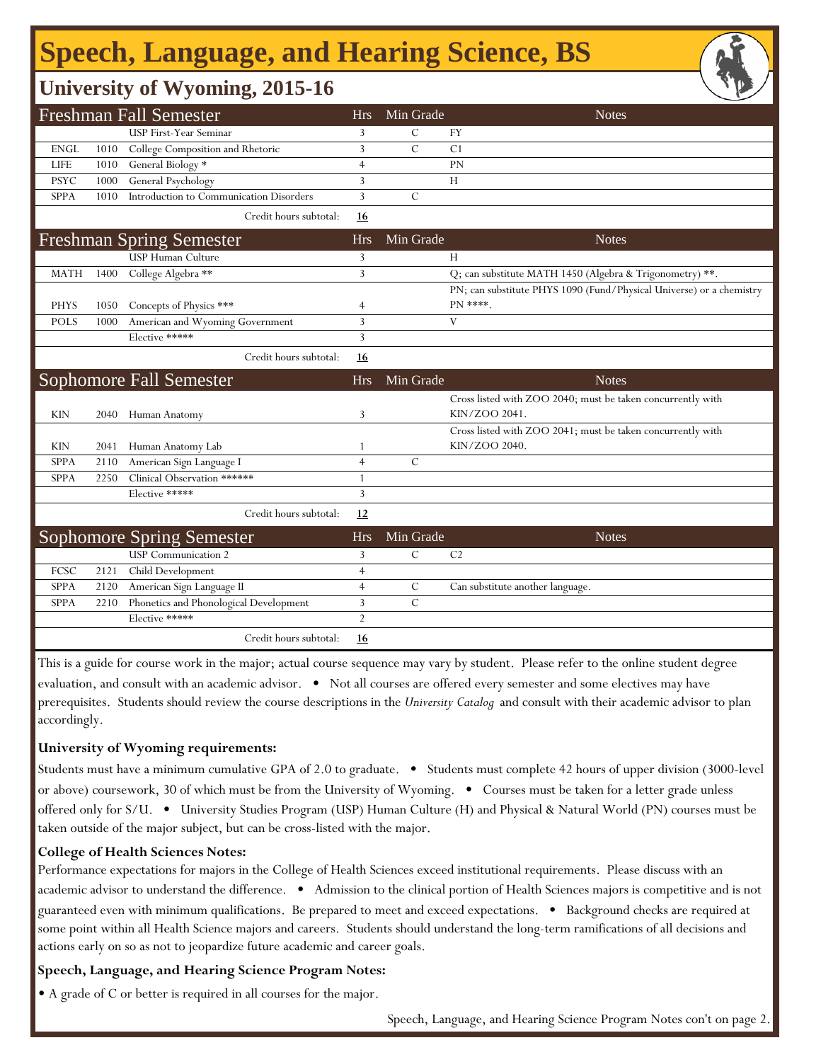## **Speech, Language, and Hearing Science, BS**

### **University of Wyoming, 2015-16**

|             |      | <b>Freshman Fall Semester</b>           | <b>Hrs</b>     | Min Grade     | <b>Notes</b>                                                                     |
|-------------|------|-----------------------------------------|----------------|---------------|----------------------------------------------------------------------------------|
|             |      | USP First-Year Seminar                  | 3              | С             | <b>FY</b>                                                                        |
| <b>ENGL</b> | 1010 | College Composition and Rhetoric        | 3              | $\mathcal{C}$ | C <sub>1</sub>                                                                   |
| <b>LIFE</b> | 1010 | General Biology *                       | $\overline{4}$ |               | PN                                                                               |
| <b>PSYC</b> | 1000 | General Psychology                      | 3              |               | H                                                                                |
| SPPA        | 1010 | Introduction to Communication Disorders | 3              | $\mathcal{C}$ |                                                                                  |
|             |      | Credit hours subtotal:                  | <u>16</u>      |               |                                                                                  |
|             |      | <b>Freshman Spring Semester</b>         | <b>Hrs</b>     | Min Grade     | <b>Notes</b>                                                                     |
|             |      | USP Human Culture                       | 3              |               | Н                                                                                |
| <b>MATH</b> | 1400 | College Algebra **                      | 3              |               | Q; can substitute MATH 1450 (Algebra & Trigonometry) **.                         |
| <b>PHYS</b> | 1050 | Concepts of Physics ***                 | 4              |               | PN; can substitute PHYS 1090 (Fund/Physical Universe) or a chemistry<br>PN ****. |
| <b>POLS</b> | 1000 | American and Wyoming Government         | 3              |               | V                                                                                |
|             |      | Elective *****                          | 3              |               |                                                                                  |
|             |      | Credit hours subtotal:                  | 16             |               |                                                                                  |
|             |      | Sophomore Fall Semester                 | <b>Hrs</b>     | Min Grade     | <b>Notes</b>                                                                     |
|             |      |                                         |                |               | Cross listed with ZOO 2040; must be taken concurrently with                      |
| <b>KIN</b>  | 2040 | Human Anatomy                           | 3              |               | KIN/ZOO 2041.                                                                    |
|             |      |                                         |                |               | Cross listed with ZOO 2041; must be taken concurrently with                      |
| KIN         | 2041 | Human Anatomy Lab                       | 1              |               | KIN/ZOO 2040.                                                                    |
| <b>SPPA</b> | 2110 | American Sign Language I                | $\overline{4}$ | $\mathcal{C}$ |                                                                                  |
| <b>SPPA</b> | 2250 | Clinical Observation ******             | 1              |               |                                                                                  |
|             |      | Elective *****                          | 3              |               |                                                                                  |
|             |      | Credit hours subtotal:                  | 12             |               |                                                                                  |
|             |      | <b>Sophomore Spring Semester</b>        | <b>Hrs</b>     | Min Grade     | <b>Notes</b>                                                                     |
|             |      | <b>USP</b> Communication 2              | 3              | $\mathcal{C}$ | C <sub>2</sub>                                                                   |
| FCSC        | 2121 | Child Development                       | $\overline{4}$ |               |                                                                                  |
| <b>SPPA</b> | 2120 | American Sign Language II               | $\overline{4}$ | $\mathcal{C}$ | Can substitute another language.                                                 |
| <b>SPPA</b> | 2210 | Phonetics and Phonological Development  | 3              | $\mathcal{C}$ |                                                                                  |
|             |      | Elective *****                          | $\overline{2}$ |               |                                                                                  |
|             |      | Credit hours subtotal:                  | <u> 16</u>     |               |                                                                                  |

This is a guide for course work in the major; actual course sequence may vary by student. Please refer to the online student degree evaluation, and consult with an academic advisor. • Not all courses are offered every semester and some electives may have prerequisites. Students should review the course descriptions in the *University Catalog* and consult with their academic advisor to plan accordingly.

#### **University of Wyoming requirements:**

Students must have a minimum cumulative GPA of 2.0 to graduate. • Students must complete 42 hours of upper division (3000-level or above) coursework, 30 of which must be from the University of Wyoming. • Courses must be taken for a letter grade unless offered only for S/U. • University Studies Program (USP) Human Culture (H) and Physical & Natural World (PN) courses must be taken outside of the major subject, but can be cross-listed with the major.

#### **College of Health Sciences Notes:**

Performance expectations for majors in the College of Health Sciences exceed institutional requirements. Please discuss with an academic advisor to understand the difference. • Admission to the clinical portion of Health Sciences majors is competitive and is not guaranteed even with minimum qualifications. Be prepared to meet and exceed expectations. • Background checks are required at some point within all Health Science majors and careers. Students should understand the long-term ramifications of all decisions and actions early on so as not to jeopardize future academic and career goals.

#### **Speech, Language, and Hearing Science Program Notes:**

• A grade of C or better is required in all courses for the major.

Speech, Language, and Hearing Science Program Notes con't on page 2.